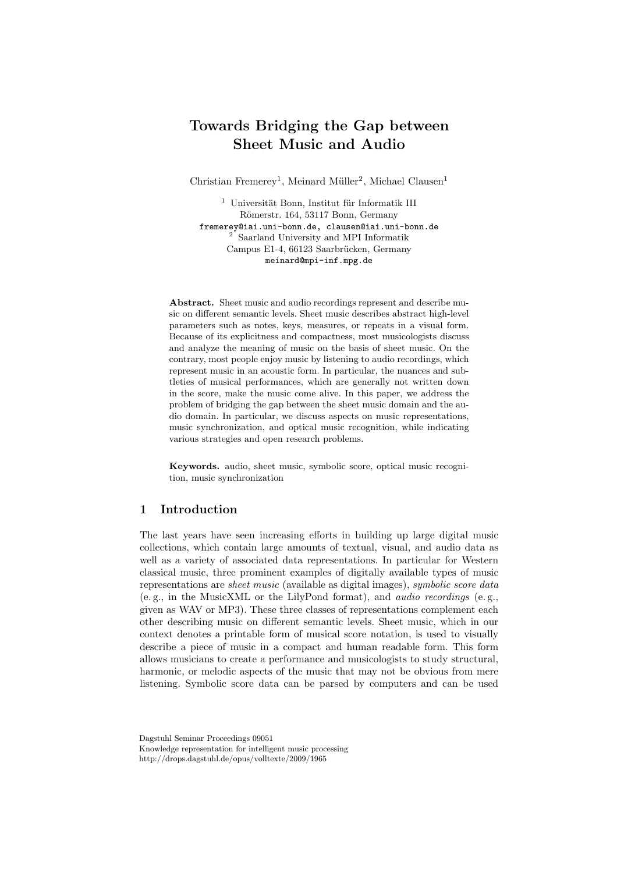# Towards Bridging the Gap between Sheet Music and Audio

Christian Fremerey<sup>1</sup>, Meinard Müller<sup>2</sup>, Michael Clausen<sup>1</sup>

 $^1\,$ Universität Bonn, Institut für Informatik III Römerstr. 164, 53117 Bonn, Germany fremerey@iai.uni-bonn.de, clausen@iai.uni-bonn.de <sup>2</sup> Saarland University and MPI Informatik Campus E1-4, 66123 Saarbrücken, Germany meinard@mpi-inf.mpg.de

Abstract. Sheet music and audio recordings represent and describe music on different semantic levels. Sheet music describes abstract high-level parameters such as notes, keys, measures, or repeats in a visual form. Because of its explicitness and compactness, most musicologists discuss and analyze the meaning of music on the basis of sheet music. On the contrary, most people enjoy music by listening to audio recordings, which represent music in an acoustic form. In particular, the nuances and subtleties of musical performances, which are generally not written down in the score, make the music come alive. In this paper, we address the problem of bridging the gap between the sheet music domain and the audio domain. In particular, we discuss aspects on music representations, music synchronization, and optical music recognition, while indicating various strategies and open research problems.

Keywords. audio, sheet music, symbolic score, optical music recognition, music synchronization

# 1 Introduction

The last years have seen increasing efforts in building up large digital music collections, which contain large amounts of textual, visual, and audio data as well as a variety of associated data representations. In particular for Western classical music, three prominent examples of digitally available types of music representations are sheet music (available as digital images), symbolic score data (e. g., in the MusicXML or the LilyPond format), and audio recordings (e. g., given as WAV or MP3). These three classes of representations complement each other describing music on different semantic levels. Sheet music, which in our context denotes a printable form of musical score notation, is used to visually describe a piece of music in a compact and human readable form. This form allows musicians to create a performance and musicologists to study structural, harmonic, or melodic aspects of the music that may not be obvious from mere listening. Symbolic score data can be parsed by computers and can be used

Dagstuhl Seminar Proceedings 09051 Knowledge representation for intelligent music processing http://drops.dagstuhl.de/opus/volltexte/2009/1965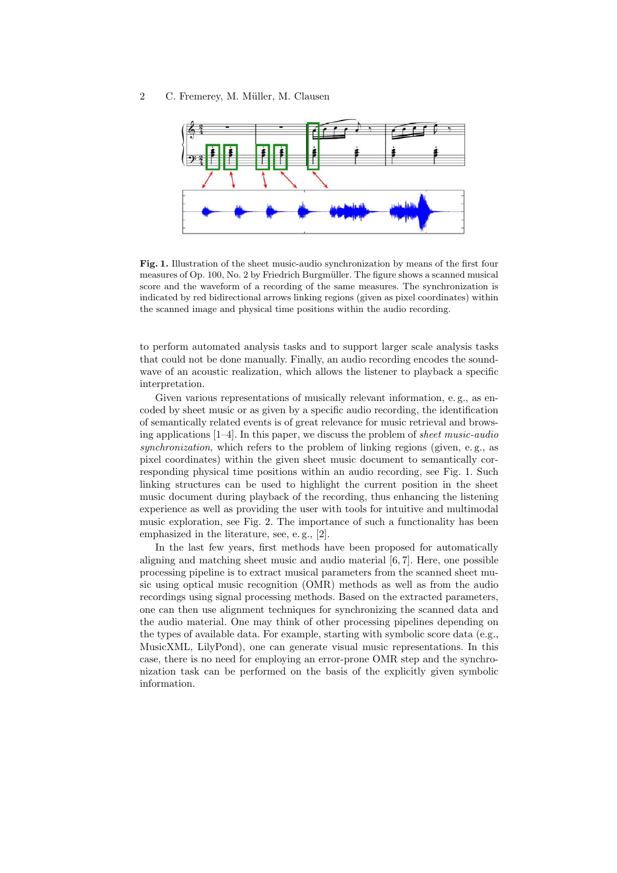

Fig. 1. Illustration of the sheet music-audio synchronization by means of the first four measures of Op. 100, No. 2 by Friedrich Burgmüller. The figure shows a scanned musical score and the waveform of a recording of the same measures. The synchronization is indicated by red bidirectional arrows linking regions (given as pixel coordinates) within the scanned image and physical time positions within the audio recording.

to perform automated analysis tasks and to support larger scale analysis tasks that could not be done manually. Finally, an audio recording encodes the soundwave of an acoustic realization, which allows the listener to playback a specific interpretation.

Given various representations of musically relevant information, e. g., as encoded by sheet music or as given by a specific audio recording, the identification of semantically related events is of great relevance for music retrieval and browsing applications  $[1-4]$ . In this paper, we discuss the problem of *sheet music-audio* synchronization, which refers to the problem of linking regions (given, e.g., as pixel coordinates) within the given sheet music document to semantically corresponding physical time positions within an audio recording, see Fig. 1. Such linking structures can be used to highlight the current position in the sheet music document during playback of the recording, thus enhancing the listening experience as well as providing the user with tools for intuitive and multimodal music exploration, see Fig. 2. The importance of such a functionality has been emphasized in the literature, see, e. g., [2].

In the last few years, first methods have been proposed for automatically aligning and matching sheet music and audio material [6, 7]. Here, one possible processing pipeline is to extract musical parameters from the scanned sheet music using optical music recognition (OMR) methods as well as from the audio recordings using signal processing methods. Based on the extracted parameters, one can then use alignment techniques for synchronizing the scanned data and the audio material. One may think of other processing pipelines depending on the types of available data. For example, starting with symbolic score data (e.g., MusicXML, LilyPond), one can generate visual music representations. In this case, there is no need for employing an error-prone OMR step and the synchronization task can be performed on the basis of the explicitly given symbolic information.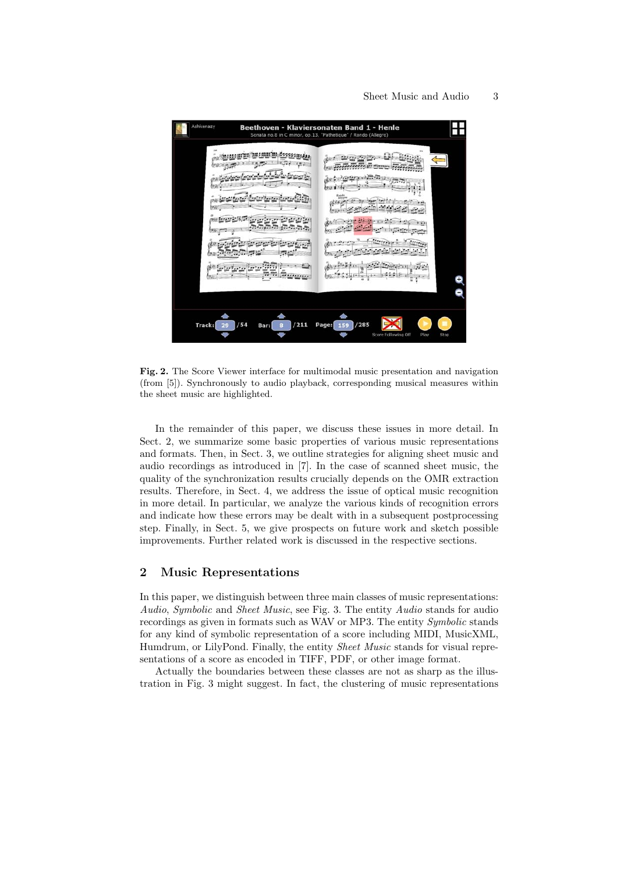| Ashkenazy<br>Beethoven - Klaviersonaten Band 1 - Henle<br>Sonata no.8 in C minor, op.13, "Pathetique" / Rondo (Allegro) |                                                                                                                            |
|-------------------------------------------------------------------------------------------------------------------------|----------------------------------------------------------------------------------------------------------------------------|
| 090<br>٠<br>and and out<br>包括<br>伊社<br>学校<br>ſσ.<br>$\cdot$<br><br>*******<br>25                                        | ow<br>$-1.1$<br>(9)<br>Rotdi<br>Atlant<br>Alle plan<br><b>MEAN</b><br><b>DOM:N</b><br>On<br>$\sim$<br>×<br>(17)<br>$1 - 8$ |
| /211<br>/54<br>Track:<br>29<br>Bar:<br>8                                                                                | /285<br>Page:<br>159<br>Score Following Off<br>Play<br>Stop                                                                |

Fig. 2. The Score Viewer interface for multimodal music presentation and navigation (from [5]). Synchronously to audio playback, corresponding musical measures within the sheet music are highlighted.

In the remainder of this paper, we discuss these issues in more detail. In Sect. 2, we summarize some basic properties of various music representations and formats. Then, in Sect. 3, we outline strategies for aligning sheet music and audio recordings as introduced in [7]. In the case of scanned sheet music, the quality of the synchronization results crucially depends on the OMR extraction results. Therefore, in Sect. 4, we address the issue of optical music recognition in more detail. In particular, we analyze the various kinds of recognition errors and indicate how these errors may be dealt with in a subsequent postprocessing step. Finally, in Sect. 5, we give prospects on future work and sketch possible improvements. Further related work is discussed in the respective sections.

# 2 Music Representations

In this paper, we distinguish between three main classes of music representations: Audio, Symbolic and Sheet Music, see Fig. 3. The entity Audio stands for audio recordings as given in formats such as WAV or MP3. The entity Symbolic stands for any kind of symbolic representation of a score including MIDI, MusicXML, Humdrum, or LilyPond. Finally, the entity Sheet Music stands for visual representations of a score as encoded in TIFF, PDF, or other image format.

Actually the boundaries between these classes are not as sharp as the illustration in Fig. 3 might suggest. In fact, the clustering of music representations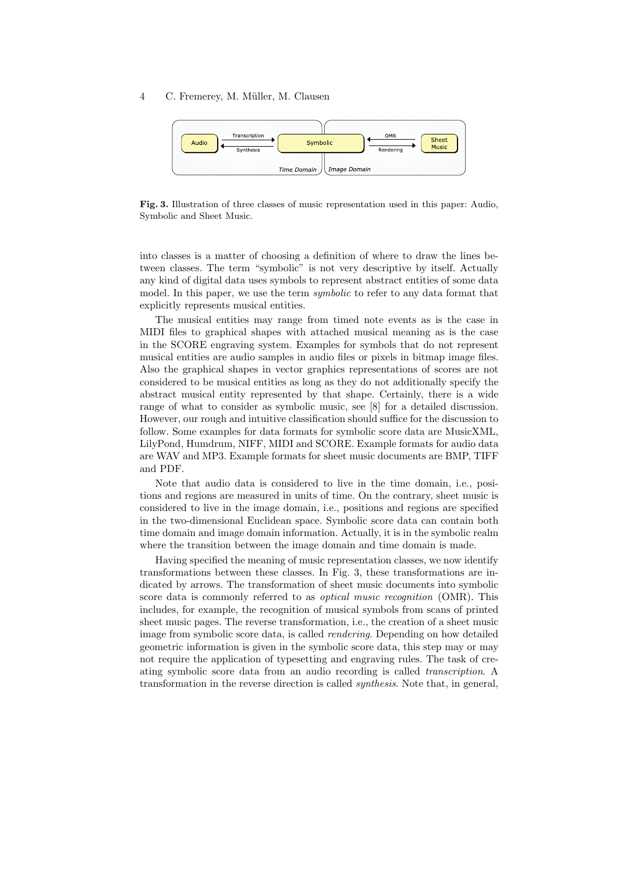

Fig. 3. Illustration of three classes of music representation used in this paper: Audio, Symbolic and Sheet Music.

into classes is a matter of choosing a definition of where to draw the lines between classes. The term "symbolic" is not very descriptive by itself. Actually any kind of digital data uses symbols to represent abstract entities of some data model. In this paper, we use the term *symbolic* to refer to any data format that explicitly represents musical entities.

The musical entities may range from timed note events as is the case in MIDI files to graphical shapes with attached musical meaning as is the case in the SCORE engraving system. Examples for symbols that do not represent musical entities are audio samples in audio files or pixels in bitmap image files. Also the graphical shapes in vector graphics representations of scores are not considered to be musical entities as long as they do not additionally specify the abstract musical entity represented by that shape. Certainly, there is a wide range of what to consider as symbolic music, see [8] for a detailed discussion. However, our rough and intuitive classification should suffice for the discussion to follow. Some examples for data formats for symbolic score data are MusicXML, LilyPond, Humdrum, NIFF, MIDI and SCORE. Example formats for audio data are WAV and MP3. Example formats for sheet music documents are BMP, TIFF and PDF.

Note that audio data is considered to live in the time domain, i.e., positions and regions are measured in units of time. On the contrary, sheet music is considered to live in the image domain, i.e., positions and regions are specified in the two-dimensional Euclidean space. Symbolic score data can contain both time domain and image domain information. Actually, it is in the symbolic realm where the transition between the image domain and time domain is made.

Having specified the meaning of music representation classes, we now identify transformations between these classes. In Fig. 3, these transformations are indicated by arrows. The transformation of sheet music documents into symbolic score data is commonly referred to as *optical music recognition* (OMR). This includes, for example, the recognition of musical symbols from scans of printed sheet music pages. The reverse transformation, i.e., the creation of a sheet music image from symbolic score data, is called rendering. Depending on how detailed geometric information is given in the symbolic score data, this step may or may not require the application of typesetting and engraving rules. The task of creating symbolic score data from an audio recording is called transcription. A transformation in the reverse direction is called synthesis. Note that, in general,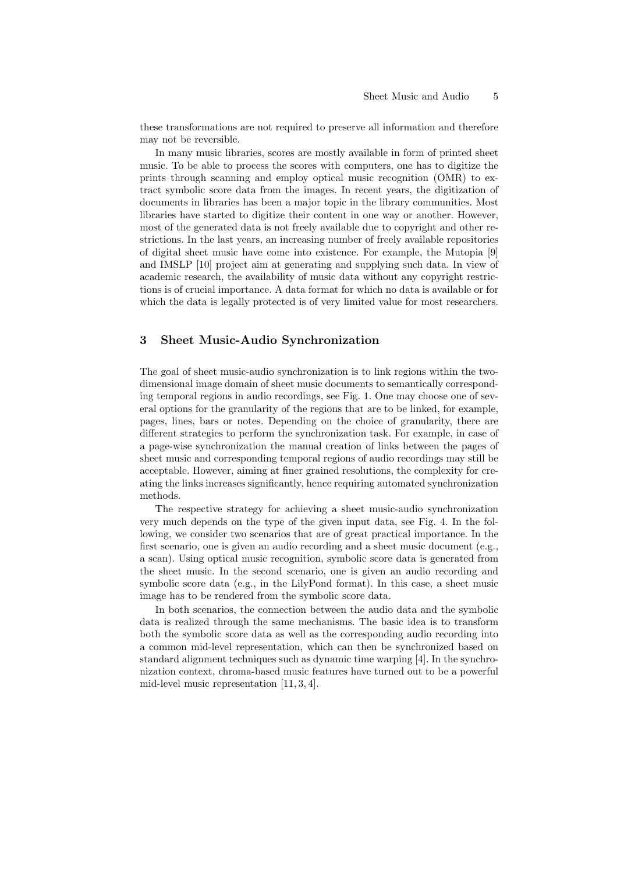these transformations are not required to preserve all information and therefore may not be reversible.

In many music libraries, scores are mostly available in form of printed sheet music. To be able to process the scores with computers, one has to digitize the prints through scanning and employ optical music recognition (OMR) to extract symbolic score data from the images. In recent years, the digitization of documents in libraries has been a major topic in the library communities. Most libraries have started to digitize their content in one way or another. However, most of the generated data is not freely available due to copyright and other restrictions. In the last years, an increasing number of freely available repositories of digital sheet music have come into existence. For example, the Mutopia [9] and IMSLP [10] project aim at generating and supplying such data. In view of academic research, the availability of music data without any copyright restrictions is of crucial importance. A data format for which no data is available or for which the data is legally protected is of very limited value for most researchers.

# 3 Sheet Music-Audio Synchronization

The goal of sheet music-audio synchronization is to link regions within the twodimensional image domain of sheet music documents to semantically corresponding temporal regions in audio recordings, see Fig. 1. One may choose one of several options for the granularity of the regions that are to be linked, for example, pages, lines, bars or notes. Depending on the choice of granularity, there are different strategies to perform the synchronization task. For example, in case of a page-wise synchronization the manual creation of links between the pages of sheet music and corresponding temporal regions of audio recordings may still be acceptable. However, aiming at finer grained resolutions, the complexity for creating the links increases significantly, hence requiring automated synchronization methods.

The respective strategy for achieving a sheet music-audio synchronization very much depends on the type of the given input data, see Fig. 4. In the following, we consider two scenarios that are of great practical importance. In the first scenario, one is given an audio recording and a sheet music document (e.g., a scan). Using optical music recognition, symbolic score data is generated from the sheet music. In the second scenario, one is given an audio recording and symbolic score data (e.g., in the LilyPond format). In this case, a sheet music image has to be rendered from the symbolic score data.

In both scenarios, the connection between the audio data and the symbolic data is realized through the same mechanisms. The basic idea is to transform both the symbolic score data as well as the corresponding audio recording into a common mid-level representation, which can then be synchronized based on standard alignment techniques such as dynamic time warping [4]. In the synchronization context, chroma-based music features have turned out to be a powerful mid-level music representation [11, 3, 4].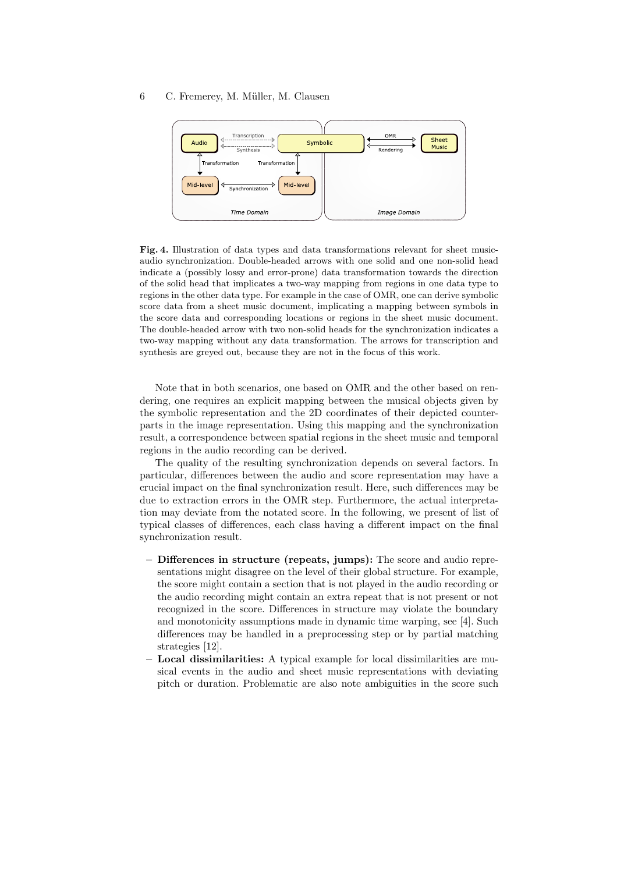

Fig. 4. Illustration of data types and data transformations relevant for sheet musicaudio synchronization. Double-headed arrows with one solid and one non-solid head indicate a (possibly lossy and error-prone) data transformation towards the direction of the solid head that implicates a two-way mapping from regions in one data type to regions in the other data type. For example in the case of OMR, one can derive symbolic score data from a sheet music document, implicating a mapping between symbols in the score data and corresponding locations or regions in the sheet music document. The double-headed arrow with two non-solid heads for the synchronization indicates a two-way mapping without any data transformation. The arrows for transcription and synthesis are greyed out, because they are not in the focus of this work.

Note that in both scenarios, one based on OMR and the other based on rendering, one requires an explicit mapping between the musical objects given by the symbolic representation and the 2D coordinates of their depicted counterparts in the image representation. Using this mapping and the synchronization result, a correspondence between spatial regions in the sheet music and temporal regions in the audio recording can be derived.

The quality of the resulting synchronization depends on several factors. In particular, differences between the audio and score representation may have a crucial impact on the final synchronization result. Here, such differences may be due to extraction errors in the OMR step. Furthermore, the actual interpretation may deviate from the notated score. In the following, we present of list of typical classes of differences, each class having a different impact on the final synchronization result.

- Differences in structure (repeats, jumps): The score and audio representations might disagree on the level of their global structure. For example, the score might contain a section that is not played in the audio recording or the audio recording might contain an extra repeat that is not present or not recognized in the score. Differences in structure may violate the boundary and monotonicity assumptions made in dynamic time warping, see [4]. Such differences may be handled in a preprocessing step or by partial matching strategies [12].
- Local dissimilarities: A typical example for local dissimilarities are musical events in the audio and sheet music representations with deviating pitch or duration. Problematic are also note ambiguities in the score such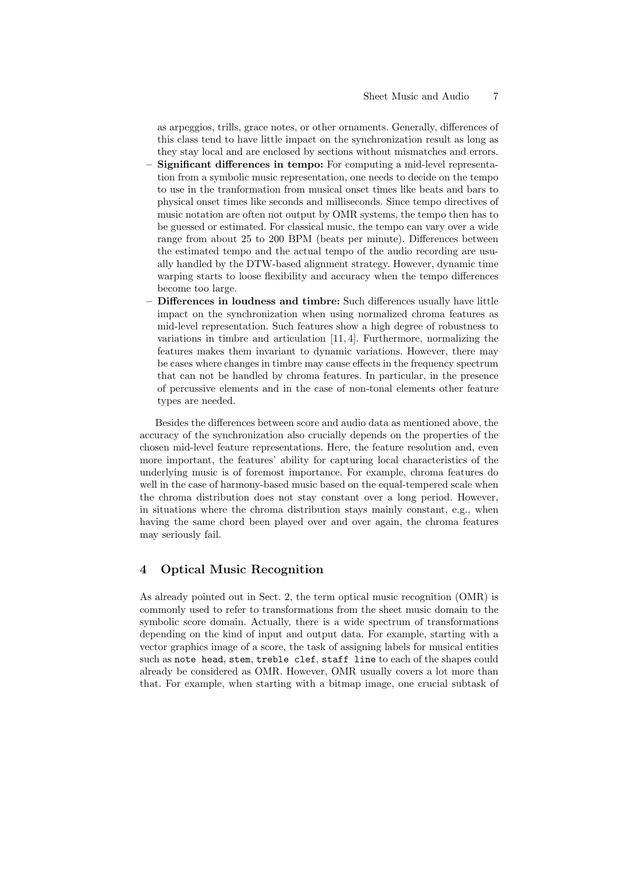as arpeggios, trills, grace notes, or other ornaments. Generally, differences of this class tend to have little impact on the synchronization result as long as they stay local and are enclosed by sections without mismatches and errors.

- Significant differences in tempo: For computing a mid-level representation from a symbolic music representation, one needs to decide on the tempo to use in the tranformation from musical onset times like beats and bars to physical onset times like seconds and milliseconds. Since tempo directives of music notation are often not output by OMR systems, the tempo then has to be guessed or estimated. For classical music, the tempo can vary over a wide range from about 25 to 200 BPM (beats per minute). Differences between the estimated tempo and the actual tempo of the audio recording are usually handled by the DTW-based alignment strategy. However, dynamic time warping starts to loose flexibility and accuracy when the tempo differences become too large.
- Differences in loudness and timbre: Such differences usually have little impact on the synchronization when using normalized chroma features as mid-level representation. Such features show a high degree of robustness to variations in timbre and articulation [11, 4]. Furthermore, normalizing the features makes them invariant to dynamic variations. However, there may be cases where changes in timbre may cause effects in the frequency spectrum that can not be handled by chroma features. In particular, in the presence of percussive elements and in the case of non-tonal elements other feature types are needed.

Besides the differences between score and audio data as mentioned above, the accuracy of the synchronization also crucially depends on the properties of the chosen mid-level feature representations. Here, the feature resolution and, even more important, the features' ability for capturing local characteristics of the underlying music is of foremost importance. For example, chroma features do well in the case of harmony-based music based on the equal-tempered scale when the chroma distribution does not stay constant over a long period. However, in situations where the chroma distribution stays mainly constant, e.g., when having the same chord been played over and over again, the chroma features may seriously fail.

## 4 Optical Music Recognition

As already pointed out in Sect. 2, the term optical music recognition (OMR) is commonly used to refer to transformations from the sheet music domain to the symbolic score domain. Actually, there is a wide spectrum of transformations depending on the kind of input and output data. For example, starting with a vector graphics image of a score, the task of assigning labels for musical entities such as note head, stem, treble clef, staff line to each of the shapes could already be considered as OMR. However, OMR usually covers a lot more than that. For example, when starting with a bitmap image, one crucial subtask of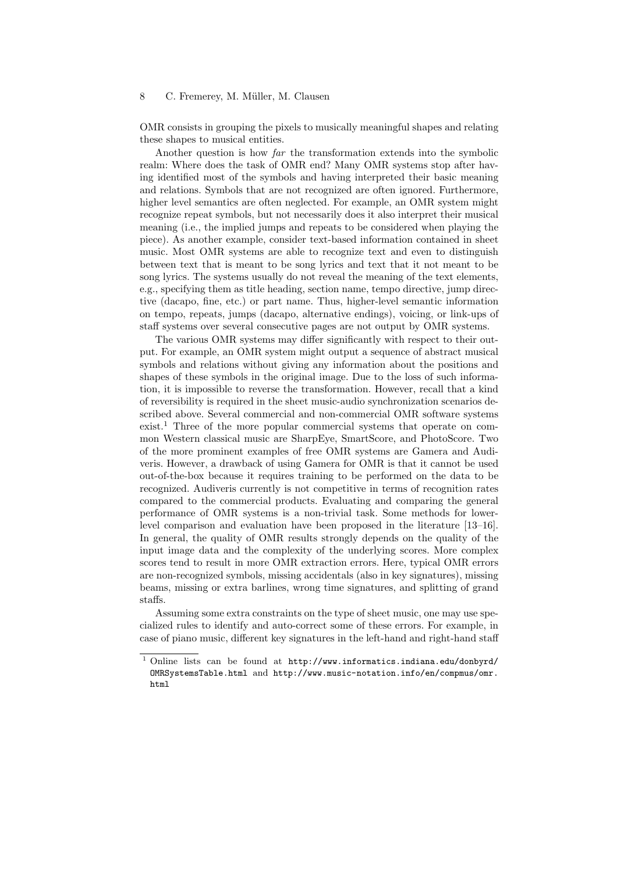OMR consists in grouping the pixels to musically meaningful shapes and relating these shapes to musical entities.

Another question is how far the transformation extends into the symbolic realm: Where does the task of OMR end? Many OMR systems stop after having identified most of the symbols and having interpreted their basic meaning and relations. Symbols that are not recognized are often ignored. Furthermore, higher level semantics are often neglected. For example, an OMR system might recognize repeat symbols, but not necessarily does it also interpret their musical meaning (i.e., the implied jumps and repeats to be considered when playing the piece). As another example, consider text-based information contained in sheet music. Most OMR systems are able to recognize text and even to distinguish between text that is meant to be song lyrics and text that it not meant to be song lyrics. The systems usually do not reveal the meaning of the text elements, e.g., specifying them as title heading, section name, tempo directive, jump directive (dacapo, fine, etc.) or part name. Thus, higher-level semantic information on tempo, repeats, jumps (dacapo, alternative endings), voicing, or link-ups of staff systems over several consecutive pages are not output by OMR systems.

The various OMR systems may differ significantly with respect to their output. For example, an OMR system might output a sequence of abstract musical symbols and relations without giving any information about the positions and shapes of these symbols in the original image. Due to the loss of such information, it is impossible to reverse the transformation. However, recall that a kind of reversibility is required in the sheet music-audio synchronization scenarios described above. Several commercial and non-commercial OMR software systems exist.<sup>1</sup> Three of the more popular commercial systems that operate on common Western classical music are SharpEye, SmartScore, and PhotoScore. Two of the more prominent examples of free OMR systems are Gamera and Audiveris. However, a drawback of using Gamera for OMR is that it cannot be used out-of-the-box because it requires training to be performed on the data to be recognized. Audiveris currently is not competitive in terms of recognition rates compared to the commercial products. Evaluating and comparing the general performance of OMR systems is a non-trivial task. Some methods for lowerlevel comparison and evaluation have been proposed in the literature [13–16]. In general, the quality of OMR results strongly depends on the quality of the input image data and the complexity of the underlying scores. More complex scores tend to result in more OMR extraction errors. Here, typical OMR errors are non-recognized symbols, missing accidentals (also in key signatures), missing beams, missing or extra barlines, wrong time signatures, and splitting of grand staffs.

Assuming some extra constraints on the type of sheet music, one may use specialized rules to identify and auto-correct some of these errors. For example, in case of piano music, different key signatures in the left-hand and right-hand staff

<sup>1</sup> Online lists can be found at http://www.informatics.indiana.edu/donbyrd/ OMRSystemsTable.html and http://www.music-notation.info/en/compmus/omr. html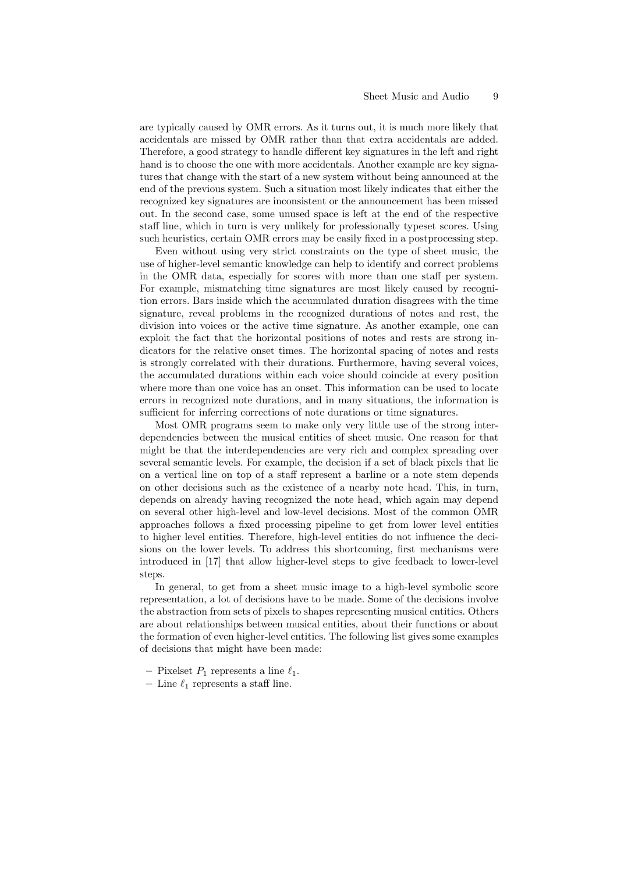are typically caused by OMR errors. As it turns out, it is much more likely that accidentals are missed by OMR rather than that extra accidentals are added. Therefore, a good strategy to handle different key signatures in the left and right hand is to choose the one with more accidentals. Another example are key signatures that change with the start of a new system without being announced at the end of the previous system. Such a situation most likely indicates that either the recognized key signatures are inconsistent or the announcement has been missed out. In the second case, some unused space is left at the end of the respective staff line, which in turn is very unlikely for professionally typeset scores. Using such heuristics, certain OMR errors may be easily fixed in a postprocessing step.

Even without using very strict constraints on the type of sheet music, the use of higher-level semantic knowledge can help to identify and correct problems in the OMR data, especially for scores with more than one staff per system. For example, mismatching time signatures are most likely caused by recognition errors. Bars inside which the accumulated duration disagrees with the time signature, reveal problems in the recognized durations of notes and rest, the division into voices or the active time signature. As another example, one can exploit the fact that the horizontal positions of notes and rests are strong indicators for the relative onset times. The horizontal spacing of notes and rests is strongly correlated with their durations. Furthermore, having several voices, the accumulated durations within each voice should coincide at every position where more than one voice has an onset. This information can be used to locate errors in recognized note durations, and in many situations, the information is sufficient for inferring corrections of note durations or time signatures.

Most OMR programs seem to make only very little use of the strong interdependencies between the musical entities of sheet music. One reason for that might be that the interdependencies are very rich and complex spreading over several semantic levels. For example, the decision if a set of black pixels that lie on a vertical line on top of a staff represent a barline or a note stem depends on other decisions such as the existence of a nearby note head. This, in turn, depends on already having recognized the note head, which again may depend on several other high-level and low-level decisions. Most of the common OMR approaches follows a fixed processing pipeline to get from lower level entities to higher level entities. Therefore, high-level entities do not influence the decisions on the lower levels. To address this shortcoming, first mechanisms were introduced in [17] that allow higher-level steps to give feedback to lower-level steps.

In general, to get from a sheet music image to a high-level symbolic score representation, a lot of decisions have to be made. Some of the decisions involve the abstraction from sets of pixels to shapes representing musical entities. Others are about relationships between musical entities, about their functions or about the formation of even higher-level entities. The following list gives some examples of decisions that might have been made:

- Pixelset  $P_1$  represents a line  $\ell_1$ .
- Line  $\ell_1$  represents a staff line.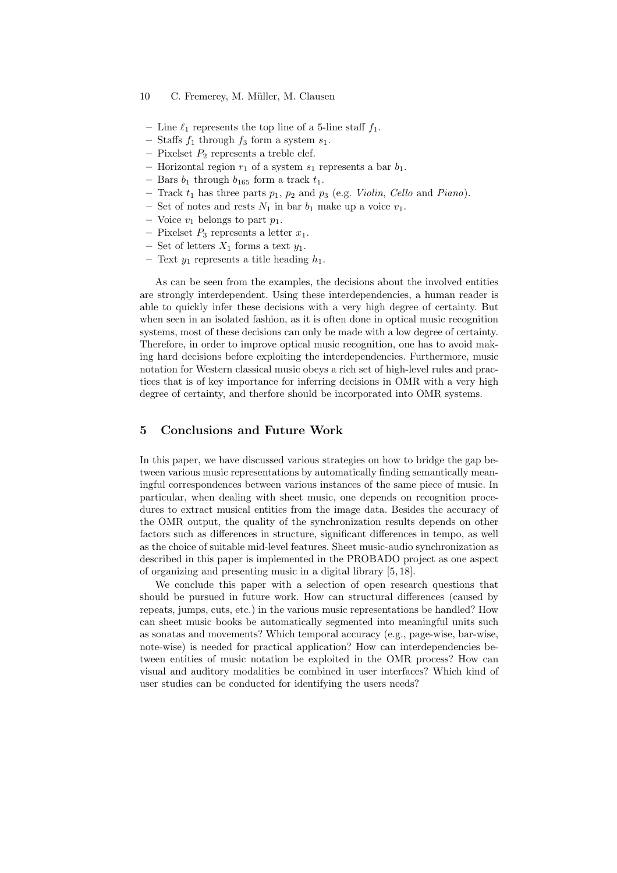- Line  $\ell_1$  represents the top line of a 5-line staff  $f_1$ .
- Staffs  $f_1$  through  $f_3$  form a system  $s_1$ .
- Pixelset  $P_2$  represents a treble clef.
- Horizontal region  $r_1$  of a system  $s_1$  represents a bar  $b_1$ .
- Bars  $b_1$  through  $b_{165}$  form a track  $t_1$ .
- Track  $t_1$  has three parts  $p_1$ ,  $p_2$  and  $p_3$  (e.g. Violin, Cello and Piano).
- Set of notes and rests  $N_1$  in bar  $b_1$  make up a voice  $v_1$ .
- Voice  $v_1$  belongs to part  $p_1$ .
- Pixelset  $P_3$  represents a letter  $x_1$ .
- Set of letters  $X_1$  forms a text  $y_1$ .
- Text  $y_1$  represents a title heading  $h_1$ .

As can be seen from the examples, the decisions about the involved entities are strongly interdependent. Using these interdependencies, a human reader is able to quickly infer these decisions with a very high degree of certainty. But when seen in an isolated fashion, as it is often done in optical music recognition systems, most of these decisions can only be made with a low degree of certainty. Therefore, in order to improve optical music recognition, one has to avoid making hard decisions before exploiting the interdependencies. Furthermore, music notation for Western classical music obeys a rich set of high-level rules and practices that is of key importance for inferring decisions in OMR with a very high degree of certainty, and therfore should be incorporated into OMR systems.

## 5 Conclusions and Future Work

In this paper, we have discussed various strategies on how to bridge the gap between various music representations by automatically finding semantically meaningful correspondences between various instances of the same piece of music. In particular, when dealing with sheet music, one depends on recognition procedures to extract musical entities from the image data. Besides the accuracy of the OMR output, the quality of the synchronization results depends on other factors such as differences in structure, significant differences in tempo, as well as the choice of suitable mid-level features. Sheet music-audio synchronization as described in this paper is implemented in the PROBADO project as one aspect of organizing and presenting music in a digital library [5, 18].

We conclude this paper with a selection of open research questions that should be pursued in future work. How can structural differences (caused by repeats, jumps, cuts, etc.) in the various music representations be handled? How can sheet music books be automatically segmented into meaningful units such as sonatas and movements? Which temporal accuracy (e.g., page-wise, bar-wise, note-wise) is needed for practical application? How can interdependencies between entities of music notation be exploited in the OMR process? How can visual and auditory modalities be combined in user interfaces? Which kind of user studies can be conducted for identifying the users needs?